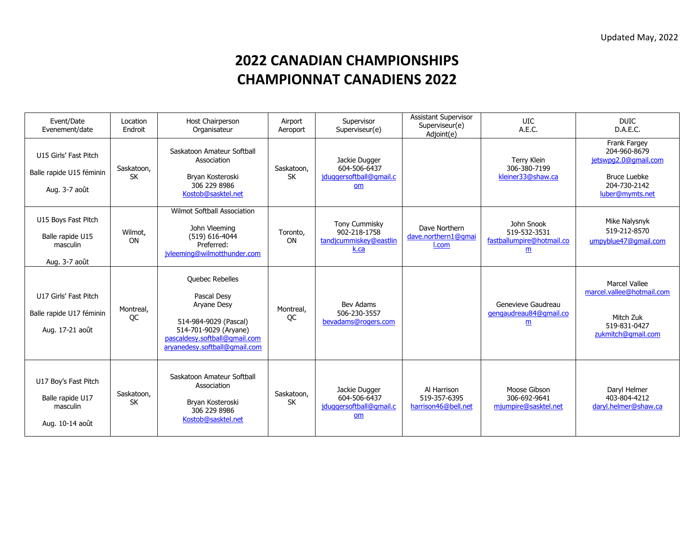## **2022 CANADIAN CHAMPIONSHIPS CHAMPIONNAT CANADIENS 2022**

| Event/Date<br>Evenement/date                                            | Location<br>Endroit     | Host Chairperson<br>Organisateur                                                                                                                                  | Airport<br>Aeroport     | Supervisor<br>Superviseur(e)                                           | Assistant Supervisor<br>Superviseur(e)<br>Adjoint(e) | UIC<br>A.E.C.                                                              | <b>DUIC</b><br>D.A.E.C.                                                                                        |
|-------------------------------------------------------------------------|-------------------------|-------------------------------------------------------------------------------------------------------------------------------------------------------------------|-------------------------|------------------------------------------------------------------------|------------------------------------------------------|----------------------------------------------------------------------------|----------------------------------------------------------------------------------------------------------------|
| U15 Girls' Fast Pitch<br>Balle rapide U15 féminin<br>Aug. 3-7 août      | Saskatoon,<br><b>SK</b> | Saskatoon Amateur Softball<br>Association<br>Bryan Kosteroski<br>306 229 8986<br>Kostob@sasktel.net                                                               | Saskatoon,<br><b>SK</b> | Jackie Dugger<br>604-506-6437<br>iduggersoftball@gmail.c<br><b>om</b>  |                                                      | <b>Terry Klein</b><br>306-380-7199<br>kleiner33@shaw.ca                    | Frank Fargey<br>204-960-8679<br>jetswpg2.0@gmail.com<br><b>Bruce Luebke</b><br>204-730-2142<br>luber@mymts.net |
| U15 Boys Fast Pitch<br>Balle rapide U15<br>masculin<br>Aug. 3-7 août    | Wilmot,<br><b>ON</b>    | Wilmot Softball Association<br>John Vleeming<br>(519) 616-4044<br>Preferred:<br>jvleeming@wilmotthunder.com                                                       | Toronto.<br>ON          | <b>Tony Cummisky</b><br>902-218-1758<br>tandjcummiskey@eastlin<br>k.ca | Dave Northern<br>dave.northern1@gmai<br>I.com        | John Snook<br>519-532-3531<br>fastballumpire@hotmail.co<br>$\underline{m}$ | Mike Nalysnyk<br>519-212-8570<br>umpyblue47@qmail.com                                                          |
| U17 Girls' Fast Pitch<br>Balle rapide U17 féminin<br>Aug. 17-21 août    | Montreal,<br>QC         | Quebec Rebelles<br>Pascal Desy<br>Aryane Desy<br>514-984-9029 (Pascal)<br>514-701-9029 (Aryane)<br>pascaldesy.softball@gmail.com<br>aryanedesy.softball@gmail.com | Montreal,<br>QC         | Bev Adams<br>506-230-3557<br>bevadams@rogers.com                       |                                                      | Genevieve Gaudreau<br>gengaudreau84@gmail.co<br>m                          | Marcel Vallee<br>marcel.vallee@hotmail.com<br>Mitch Zuk<br>519-831-0427<br>zukmitch@amail.com                  |
| U17 Boy's Fast Pitch<br>Balle rapide U17<br>masculin<br>Aug. 10-14 août | Saskatoon,<br><b>SK</b> | Saskatoon Amateur Softball<br>Association<br>Bryan Kosteroski<br>306 229 8986<br>Kostob@sasktel.net                                                               | Saskatoon,<br><b>SK</b> | Jackie Dugger<br>604-506-6437<br>jduggersoftball@gmail.c<br>om         | Al Harrison<br>519-357-6395<br>harrison46@bell.net   | Moose Gibson<br>306-692-9641<br>mjumpire@sasktel.net                       | Daryl Helmer<br>403-804-4212<br>daryl.helmer@shaw.ca                                                           |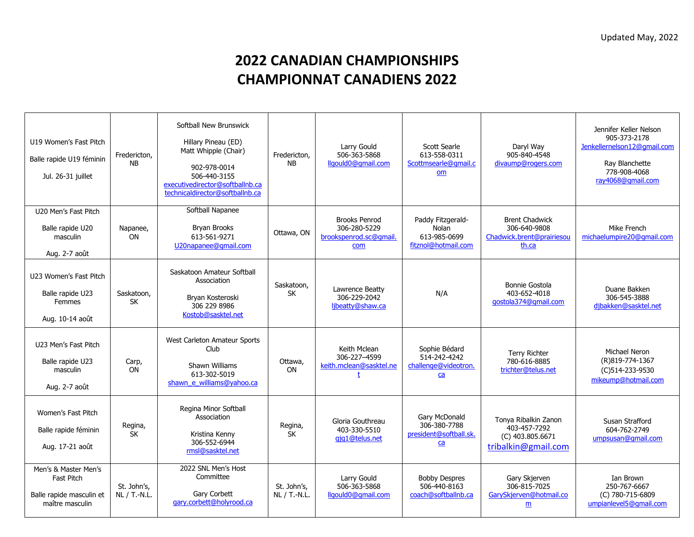## **2022 CANADIAN CHAMPIONSHIPS CHAMPIONNAT CANADIENS 2022**

| U19 Women's Fast Pitch<br>Balle rapide U19 féminin<br>Jul. 26-31 juillet          | Fredericton,<br><b>NB</b>   | Softball New Brunswick<br>Hillary Pineau (ED)<br>Matt Whipple (Chair)<br>902-978-0014<br>506-440-3155<br>executivedirector@softballnb.ca<br>technicaldirector@softballnb.ca | Fredericton,<br><b>NB</b>   | Larry Gould<br>506-363-5868<br>llgould0@gmail.com                           | Scott Searle<br>613-558-0311<br>Scottmsearle@gmail.c<br>om        | Daryl Way<br>905-840-4548<br>divaump@rogers.com                                 | Jennifer Keller Nelson<br>905-373-2178<br>Jenkellernelson12@gmail.com<br>Ray Blanchette<br>778-908-4068<br>ray4068@gmail.com |
|-----------------------------------------------------------------------------------|-----------------------------|-----------------------------------------------------------------------------------------------------------------------------------------------------------------------------|-----------------------------|-----------------------------------------------------------------------------|-------------------------------------------------------------------|---------------------------------------------------------------------------------|------------------------------------------------------------------------------------------------------------------------------|
| U20 Men's Fast Pitch<br>Balle rapide U20<br>masculin<br>Aug. 2-7 août             | Napanee,<br>ON              | Softball Napanee<br><b>Bryan Brooks</b><br>613-561-9271<br>U20napanee@gmail.com                                                                                             | Ottawa, ON                  | <b>Brooks Penrod</b><br>306-280-5229<br>brookspenrod.sc@gmail<br><b>com</b> | Paddy Fitzgerald-<br>Nolan<br>613-985-0699<br>fitznol@hotmail.com | <b>Brent Chadwick</b><br>306-640-9808<br>Chadwick.brent@prairiesou<br>th.ca     | Mike French<br>michaelumpire20@gmail.com                                                                                     |
| U23 Women's Fast Pitch<br>Balle rapide U23<br><b>Femmes</b><br>Aug. 10-14 août    | Saskatoon,<br><b>SK</b>     | Saskatoon Amateur Softball<br>Association<br>Bryan Kosteroski<br>306 229 8986<br>Kostob@sasktel.net                                                                         | Saskatoon,<br><b>SK</b>     | Lawrence Beatty<br>306-229-2042<br>libeatty@shaw.ca                         | N/A                                                               | Bonnie Gostola<br>403-652-4018<br>qostola374@qmail.com                          | Duane Bakken<br>306-545-3888<br>dibakken@sasktel.net                                                                         |
| U23 Men's Fast Pitch<br>Balle rapide U23<br>masculin<br>Aug. 2-7 août             | Carp,<br>ON                 | West Carleton Amateur Sports<br>Club<br>Shawn Williams<br>613-302-5019<br>shawn e williams@yahoo.ca                                                                         | Ottawa,<br>ON               | Keith Mclean<br>306-227-4599<br>keith.mclean@sasktel.ne                     | Sophie Bédard<br>514-242-4242<br>challenge@videotron.<br>ca       | <b>Terry Richter</b><br>780-616-8885<br>trichter@telus.net                      | Michael Neron<br>(R)819-774-1367<br>(C)514-233-9530<br>mikeump@hotmail.com                                                   |
| Women's Fast Pitch<br>Balle rapide féminin<br>Aug. 17-21 août                     | Regina,<br><b>SK</b>        | Regina Minor Softball<br>Association<br>Kristina Kenny<br>306-552-6944<br>rmsl@sasktel.net                                                                                  | Regina,<br><b>SK</b>        | Gloria Gouthreau<br>403-330-5510<br>gjg1@telus.net                          | Gary McDonald<br>306-380-7788<br>president@softball.sk.<br>ca     | Tonya Ribalkin Zanon<br>403-457-7292<br>(C) 403.805.6671<br>tribalkin@gmail.com | Susan Strafford<br>604-762-2749<br>umpsusan@gmail.com                                                                        |
| Men's & Master Men's<br>Fast Pitch<br>Balle rapide masculin et<br>maître masculin | St. John's,<br>NL / T.-N.L. | 2022 SNL Men's Host<br>Committee<br>Gary Corbett<br>gary.corbett@holyrood.ca                                                                                                | St. John's,<br>NL / T.-N.L. | Larry Gould<br>506-363-5868<br>llgould0@gmail.com                           | <b>Bobby Despres</b><br>506-440-8163<br>coach@softballnb.ca       | Gary Skjerven<br>306-815-7025<br>GarySkjerven@hotmail.co<br>m                   | Ian Brown<br>250-767-6667<br>(C) 780-715-6809<br>umpianlevel5@gmail.com                                                      |